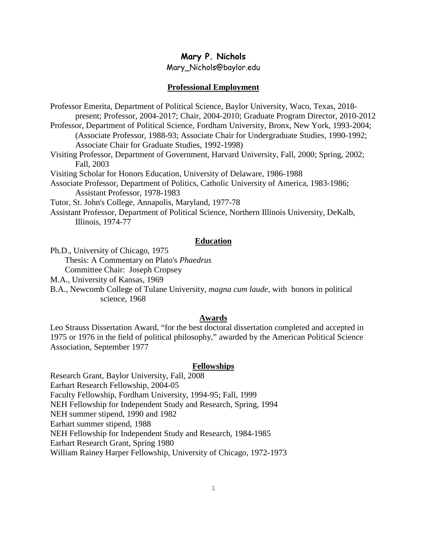# **Mary P. Nichols**

Mary\_Nichols@baylor.edu

## **Professional Employment**

Professor Emerita, Department of Political Science, Baylor University, Waco, Texas, 2018 present; Professor, 2004-2017; Chair, 2004-2010; Graduate Program Director, 2010-2012 Professor, Department of Political Science, Fordham University, Bronx, New York, 1993-2004; (Associate Professor, 1988-93; Associate Chair for Undergraduate Studies, 1990-1992; Associate Chair for Graduate Studies, 1992-1998) Visiting Professor, Department of Government, Harvard University, Fall, 2000; Spring, 2002; Fall, 2003 Visiting Scholar for Honors Education, University of Delaware, 1986-1988 Associate Professor, Department of Politics, Catholic University of America, 1983-1986; Assistant Professor, 1978-1983

Tutor, St. John's College, Annapolis, Maryland, 1977-78

Assistant Professor, Department of Political Science, Northern Illinois University, DeKalb, Illinois, 1974-77

#### **Education**

Ph.D., University of Chicago, 1975 Thesis: A Commentary on Plato's *Phaedrus* Committee Chair: Joseph Cropsey

M.A., University of Kansas, 1969

B.A., Newcomb College of Tulane University, *magna cum laude*, with honors in political science, 1968

#### **Awards**

Leo Strauss Dissertation Award, "for the best doctoral dissertation completed and accepted in 1975 or 1976 in the field of political philosophy," awarded by the American Political Science Association, September 1977

#### **Fellowships**

Research Grant, Baylor University, Fall, 2008 Earhart Research Fellowship, 2004-05 Faculty Fellowship, Fordham University, 1994-95; Fall, 1999 NEH Fellowship for Independent Study and Research, Spring, 1994 NEH summer stipend, 1990 and 1982 Earhart summer stipend, 1988 NEH Fellowship for Independent Study and Research, 1984-1985 Earhart Research Grant, Spring 1980 William Rainey Harper Fellowship, University of Chicago, 1972-1973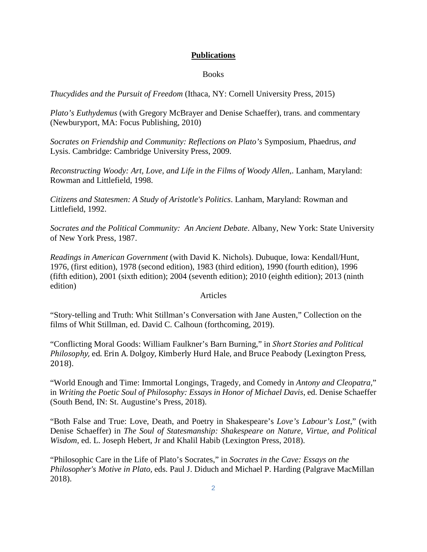# **Publications**

#### Books

*Thucydides and the Pursuit of Freedom* (Ithaca, NY: Cornell University Press, 2015)

*Plato's Euthydemus* (with Gregory McBrayer and Denise Schaeffer), trans. and commentary (Newburyport, MA: Focus Publishing, 2010)

*Socrates on Friendship and Community: Reflections on Plato's* Symposium*,* Phaedrus*, and*  Lysis. Cambridge: Cambridge University Press, 2009.

*Reconstructing Woody: Art, Love, and Life in the Films of Woody Allen*,. Lanham, Maryland: Rowman and Littlefield, 1998.

*Citizens and Statesmen: A Study of Aristotle's Politics*. Lanham, Maryland: Rowman and Littlefield, 1992.

*Socrates and the Political Community: An Ancient Debate*. Albany, New York: State University of New York Press, 1987.

*Readings in American Government* (with David K. Nichols). Dubuque, Iowa: Kendall/Hunt, 1976, (first edition), 1978 (second edition), 1983 (third edition), 1990 (fourth edition), 1996 (fifth edition), 2001 (sixth edition); 2004 (seventh edition); 2010 (eighth edition); 2013 (ninth edition)

Articles

"Story-telling and Truth: Whit Stillman's Conversation with Jane Austen," Collection on the films of Whit Stillman, ed. David C. Calhoun (forthcoming, 2019).

"Conflicting Moral Goods: William Faulkner's Barn Burning," in *Short Stories and Political Philosophy,* ed. Erin A. Dolgoy, Kimberly Hurd Hale, and Bruce Peabody (Lexington Press, 2018).

"World Enough and Time: Immortal Longings, Tragedy, and Comedy in *Antony and Cleopatra,*" in *Writing the Poetic Soul of Philosophy: Essays in Honor of Michael Davis*, ed. Denise Schaeffer (South Bend, IN: St. Augustine's Press, 2018).

"Both False and True: Love, Death, and Poetry in Shakespeare's *Love's Labour's Lost*," (with Denise Schaeffer) in *The Soul of Statesmanship: Shakespeare on Nature, Virtue, and Political Wisdom,* ed. L. Joseph Hebert, Jr and Khalil Habib (Lexington Press, 2018).

"Philosophic Care in the Life of Plato's Socrates," in *Socrates in the Cave: Essays on the Philosopher's Motive in Plato,* eds. Paul J. Diduch and Michael P. Harding (Palgrave MacMillan 2018).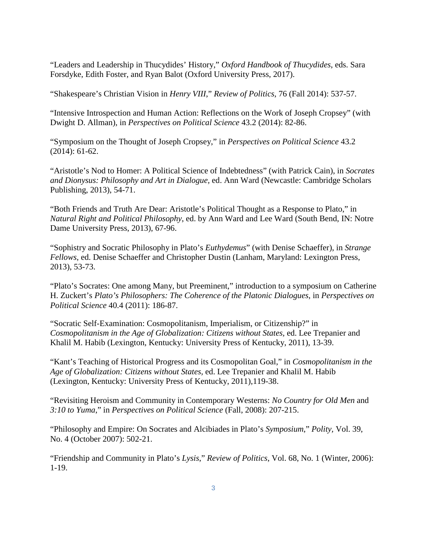"Leaders and Leadership in Thucydides' History," *Oxford Handbook of Thucydides*, eds. Sara Forsdyke, Edith Foster, and Ryan Balot (Oxford University Press, 2017).

"Shakespeare's Christian Vision in *Henry VIII*," *Review of Politics*, 76 (Fall 2014): 537-57.

"Intensive Introspection and Human Action: Reflections on the Work of Joseph Cropsey" (with Dwight D. Allman), in *Perspectives on Political Science* 43.2 (2014): 82-86.

"Symposium on the Thought of Joseph Cropsey," in *Perspectives on Political Science* 43.2 (2014): 61-62.

"Aristotle's Nod to Homer: A Political Science of Indebtedness" (with Patrick Cain), in *Socrates and Dionysus: Philosophy and Art in Dialogue,* ed. Ann Ward (Newcastle: Cambridge Scholars Publishing, 2013), 54-71.

"Both Friends and Truth Are Dear: Aristotle's Political Thought as a Response to Plato," in *Natural Right and Political Philosophy*, ed. by Ann Ward and Lee Ward (South Bend, IN: Notre Dame University Press, 2013), 67-96.

"Sophistry and Socratic Philosophy in Plato's *Euthydemus*" (with Denise Schaeffer), in *Strange Fellows*, ed. Denise Schaeffer and Christopher Dustin (Lanham, Maryland: Lexington Press, 2013), 53-73.

"Plato's Socrates: One among Many, but Preeminent," introduction to a symposium on Catherine H. Zuckert's *Plato's Philosophers: The Coherence of the Platonic Dialogues*, in *Perspectives on Political Science* 40.4 (2011): 186-87.

"Socratic Self-Examination: Cosmopolitanism, Imperialism, or Citizenship?" in *Cosmopolitanism in the Age of Globalization: Citizens without States,* ed. Lee Trepanier and Khalil M. Habib (Lexington, Kentucky: University Press of Kentucky, 2011), 13-39.

"Kant's Teaching of Historical Progress and its Cosmopolitan Goal," in *Cosmopolitanism in the Age of Globalization: Citizens without States,* ed. Lee Trepanier and Khalil M. Habib (Lexington, Kentucky: University Press of Kentucky, 2011),119-38.

"Revisiting Heroism and Community in Contemporary Westerns: *No Country for Old Men* and *3:10 to Yuma*," in *Perspectives on Political Science* (Fall, 2008): 207-215.

"Philosophy and Empire: On Socrates and Alcibiades in Plato's *Symposium*," *Polity,* Vol. 39, No. 4 (October 2007): 502-21.

"Friendship and Community in Plato's *Lysis*," *Review of Politics*, Vol. 68, No. 1 (Winter, 2006): 1-19.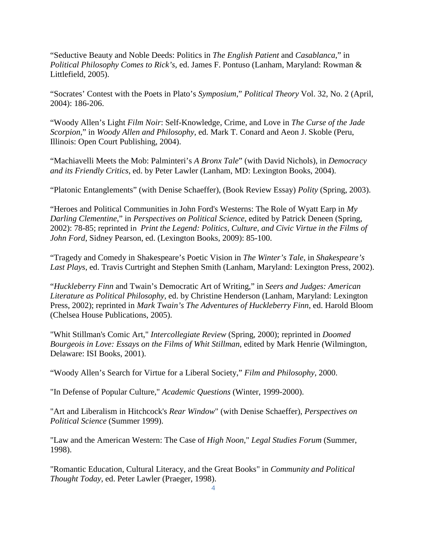"Seductive Beauty and Noble Deeds: Politics in *The English Patient* and *Casablanca*," in *Political Philosophy Comes to Rick's*, ed. James F. Pontuso (Lanham, Maryland: Rowman & Littlefield, 2005).

"Socrates' Contest with the Poets in Plato's *Symposium*," *Political Theory* Vol. 32, No. 2 (April, 2004): 186-206.

"Woody Allen's Light *Film Noir*: Self-Knowledge, Crime, and Love in *The Curse of the Jade Scorpion*," in *Woody Allen and Philosophy*, ed. Mark T. Conard and Aeon J. Skoble (Peru, Illinois: Open Court Publishing, 2004).

"Machiavelli Meets the Mob: Palminteri's *A Bronx Tale*" (with David Nichols), in *Democracy and its Friendly Critics*, ed. by Peter Lawler (Lanham, MD: Lexington Books, 2004).

"Platonic Entanglements" (with Denise Schaeffer), (Book Review Essay) *Polity* (Spring, 2003).

"Heroes and Political Communities in John Ford's Westerns: The Role of Wyatt Earp in *My Darling Clementine*," in *Perspectives on Political Science*, edited by Patrick Deneen (Spring, 2002): 78-85; reprinted in *Print the Legend: Politics, Culture, and Civic Virtue in the Films of John Ford*, Sidney Pearson, ed. (Lexington Books, 2009): 85-100.

"Tragedy and Comedy in Shakespeare's Poetic Vision in *The Winter's Tale*, in *Shakespeare's Last Plays*, ed. Travis Curtright and Stephen Smith (Lanham, Maryland: Lexington Press, 2002).

"*Huckleberry Finn* and Twain's Democratic Art of Writing," in *Seers and Judges: American Literature as Political Philosophy*, ed. by Christine Henderson (Lanham, Maryland: Lexington Press, 2002); reprinted in *Mark Twain's The Adventures of Huckleberry Finn*, ed. Harold Bloom (Chelsea House Publications, 2005).

"Whit Stillman's Comic Art," *Intercollegiate Review* (Spring, 2000); reprinted in *Doomed Bourgeois in Love: Essays on the Films of Whit Stillman*, edited by Mark Henrie (Wilmington, Delaware: ISI Books, 2001).

"Woody Allen's Search for Virtue for a Liberal Society," *Film and Philosophy*, 2000.

"In Defense of Popular Culture," *Academic Questions* (Winter, 1999-2000).

"Art and Liberalism in Hitchcock's *Rear Window*" (with Denise Schaeffer), *Perspectives on Political Science* (Summer 1999).

"Law and the American Western: The Case of *High Noon*," *Legal Studies Forum* (Summer, 1998).

"Romantic Education, Cultural Literacy, and the Great Books" in *Community and Political Thought Today*, ed. Peter Lawler (Praeger, 1998).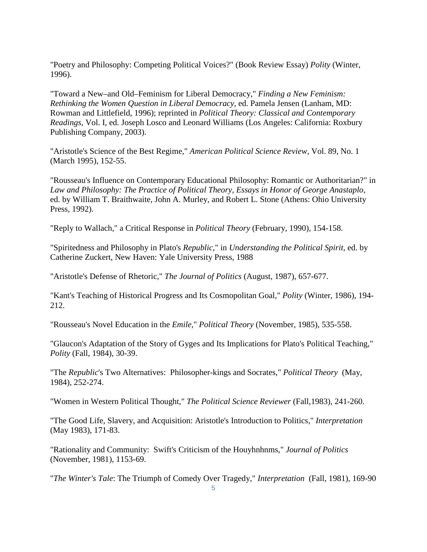"Poetry and Philosophy: Competing Political Voices?" (Book Review Essay) *Polity* (Winter, 1996).

"Toward a New–and Old–Feminism for Liberal Democracy," *Finding a New Feminism: Rethinking the Women Question in Liberal Democracy*, ed. Pamela Jensen (Lanham, MD: Rowman and Littlefield, 1996); reprinted in *Political Theory: Classical and Contemporary Readings*, Vol. I, ed. Joseph Losco and Leonard Williams (Los Angeles: California: Roxbury Publishing Company, 2003).

"Aristotle's Science of the Best Regime," *American Political Science Review*, Vol. 89, No. 1 (March 1995), 152-55.

"Rousseau's Influence on Contemporary Educational Philosophy: Romantic or Authoritarian?" in *Law and Philosophy: The Practice of Political Theory, Essays in Honor of George Anastaplo*, ed. by William T. Braithwaite, John A. Murley, and Robert L. Stone (Athens: Ohio University Press, 1992).

"Reply to Wallach," a Critical Response in *Political Theory* (February, 1990), 154-158.

"Spiritedness and Philosophy in Plato's *Republic*," in *Understanding the Political Spirit*, ed. by Catherine Zuckert, New Haven: Yale University Press, 1988

"Aristotle's Defense of Rhetoric," *The Journal of Politics* (August, 1987), 657-677.

"Kant's Teaching of Historical Progress and Its Cosmopolitan Goal," *Polity* (Winter, 1986), 194- 212.

"Rousseau's Novel Education in the *Emile*," *Political Theory* (November, 1985), 535-558.

"Glaucon's Adaptation of the Story of Gyges and Its Implications for Plato's Political Teaching," *Polity* (Fall, 1984), 30-39.

"The *Republic*'s Two Alternatives: Philosopher-kings and Socrates," *Political Theory* (May, 1984), 252-274.

"Women in Western Political Thought," *The Political Science Reviewer* (Fall,1983), 241-260.

"The Good Life, Slavery, and Acquisition: Aristotle's Introduction to Politics," *Interpretation* (May 1983), 171-83.

"Rationality and Community: Swift's Criticism of the Houyhnhnms," *Journal of Politics* (November, 1981), 1153-69.

"*The Winter's Tale*: The Triumph of Comedy Over Tragedy," *Interpretation* (Fall, 1981), 169-90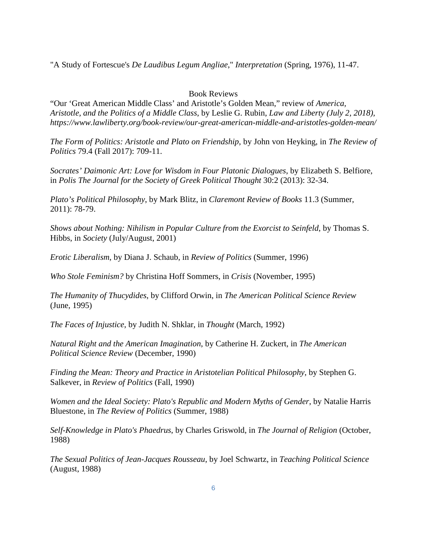"A Study of Fortescue's *De Laudibus Legum Angliae*," *Interpretation* (Spring, 1976), 11-47.

## Book Reviews

"Our 'Great American Middle Class' and Aristotle's Golden Mean," review of *America, Aristotle, and the Politics of a Middle Class*, by Leslie G. Rubin, *Law and Liberty (July 2, 2018), https://www.lawliberty.org/book-review/our-great-american-middle-and-aristotles-golden-mean/* 

*The Form of Politics: Aristotle and Plato on Friendship*, by John von Heyking, in *The Review of Politics* 79.4 (Fall 2017): 709-11.

*Socrates' Daimonic Art: Love for Wisdom in Four Platonic Dialogues*, by Elizabeth S. Belfiore, in *Polis The Journal for the Society of Greek Political Thought* 30:2 (2013): 32-34.

*Plato's Political Philosophy*, by Mark Blitz, in *Claremont Review of Books* 11.3 (Summer, 2011): 78-79.

*Shows about Nothing: Nihilism in Popular Culture from the Exorcist to Seinfeld*, by Thomas S. Hibbs, in *Society* (July/August, 2001)

*Erotic Liberalism*, by Diana J. Schaub, in *Review of Politics* (Summer, 1996)

*Who Stole Feminism?* by Christina Hoff Sommers, in *Crisis* (November, 1995)

*The Humanity of Thucydides*, by Clifford Orwin, in *The American Political Science Review* (June, 1995)

*The Faces of Injustice*, by Judith N. Shklar, in *Thought* (March, 1992)

*Natural Right and the American Imagination*, by Catherine H. Zuckert, in *The American Political Science Review* (December, 1990)

*Finding the Mean: Theory and Practice in Aristotelian Political Philosophy*, by Stephen G. Salkever, in *Review of Politics* (Fall, 1990)

*Women and the Ideal Society: Plato's Republic and Modern Myths of Gender*, by Natalie Harris Bluestone, in *The Review of Politics* (Summer, 1988)

*Self-Knowledge in Plato's Phaedrus*, by Charles Griswold, in *The Journal of Religion* (October, 1988)

*The Sexual Politics of Jean-Jacques Rousseau*, by Joel Schwartz, in *Teaching Political Science* (August, 1988)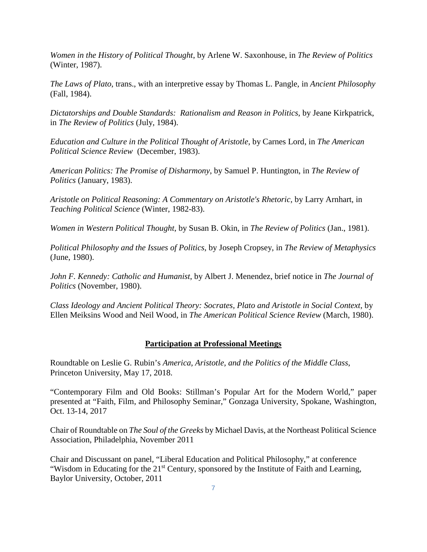*Women in the History of Political Thought*, by Arlene W. Saxonhouse, in *The Review of Politics* (Winter, 1987).

*The Laws of Plato*, trans., with an interpretive essay by Thomas L. Pangle, in *Ancient Philosophy* (Fall, 1984).

*Dictatorships and Double Standards: Rationalism and Reason in Politics*, by Jeane Kirkpatrick, in *The Review of Politics* (July, 1984).

*Education and Culture in the Political Thought of Aristotle*, by Carnes Lord, in *The American Political Science Review* (December, 1983).

*American Politics: The Promise of Disharmony*, by Samuel P. Huntington, in *The Review of Politics* (January, 1983).

*Aristotle on Political Reasoning: A Commentary on Aristotle's Rhetoric,* by Larry Arnhart, in *Teaching Political Science* (Winter, 1982-83).

*Women in Western Political Thought*, by Susan B. Okin, in *The Review of Politics* (Jan., 1981).

*Political Philosophy and the Issues of Politics*, by Joseph Cropsey, in *The Review of Metaphysics* (June, 1980).

*John F. Kennedy: Catholic and Humanist*, by Albert J. Menendez, brief notice in *The Journal of Politics* (November, 1980).

*Class Ideology and Ancient Political Theory: Socrates, Plato and Aristotle in Social Context*, by Ellen Meiksins Wood and Neil Wood, in *The American Political Science Review* (March, 1980).

#### **Participation at Professional Meetings**

Roundtable on Leslie G. Rubin's *America, Aristotle, and the Politics of the Middle Class*, Princeton University, May 17, 2018.

"Contemporary Film and Old Books: Stillman's Popular Art for the Modern World," paper presented at "Faith, Film, and Philosophy Seminar," Gonzaga University, Spokane, Washington, Oct. 13-14, 2017

Chair of Roundtable on *The Soul of the Greeks* by Michael Davis, at the Northeast Political Science Association, Philadelphia, November 2011

Chair and Discussant on panel, "Liberal Education and Political Philosophy," at conference "Wisdom in Educating for the 21<sup>st</sup> Century, sponsored by the Institute of Faith and Learning, Baylor University, October, 2011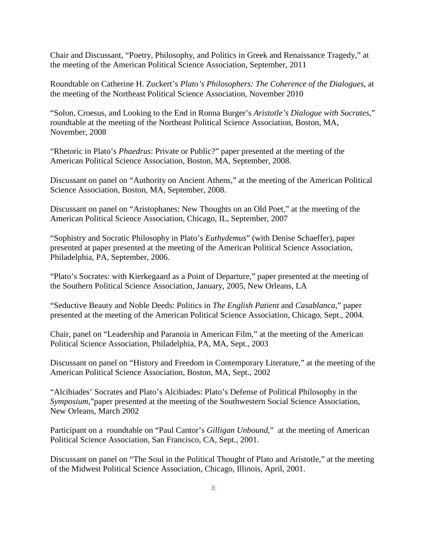Chair and Discussant, "Poetry, Philosophy, and Politics in Greek and Renaissance Tragedy," at the meeting of the American Political Science Association, September, 2011

Roundtable on Catherine H. Zuckert's *Plato's Philosophers: The Coherence of the Dialogues*, at the meeting of the Northeast Political Science Association, November 2010

"Solon, Croesus, and Looking to the End in Ronna Burger's *Aristotle's Dialogue with Socrates*," roundtable at the meeting of the Northeast Political Science Association, Boston, MA, November, 2008

"Rhetoric in Plato's *Phaedrus*: Private or Public?" paper presented at the meeting of the American Political Science Association, Boston, MA, September, 2008.

Discussant on panel on "Authority on Ancient Athens," at the meeting of the American Political Science Association, Boston, MA, September, 2008.

Discussant on panel on "Aristophanes: New Thoughts on an Old Poet," at the meeting of the American Political Science Association, Chicago, IL, September, 2007

"Sophistry and Socratic Philosophy in Plato's *Euthydemus*" (with Denise Schaeffer), paper presented at paper presented at the meeting of the American Political Science Association, Philadelphia, PA, September, 2006.

"Plato's Socrates: with Kierkegaard as a Point of Departure," paper presented at the meeting of the Southern Political Science Association, January, 2005, New Orleans, LA

"Seductive Beauty and Noble Deeds: Politics in *The English Patient* and *Casablanca*," paper presented at the meeting of the American Political Science Association, Chicago, Sept., 2004.

Chair, panel on "Leadership and Paranoia in American Film," at the meeting of the American Political Science Association, Philadelphia, PA, MA, Sept., 2003

Discussant on panel on "History and Freedom in Contemporary Literature," at the meeting of the American Political Science Association, Boston, MA, Sept., 2002

"Alcibiades' Socrates and Plato's Alcibiades: Plato's Defense of Political Philosophy in the *Symposium*,"paper presented at the meeting of the Southwestern Social Science Association, New Orleans, March 2002

Participant on a roundtable on "Paul Cantor's *Gilligan Unbound*," at the meeting of American Political Science Association, San Francisco, CA, Sept., 2001.

Discussant on panel on "The Soul in the Political Thought of Plato and Aristotle," at the meeting of the Midwest Political Science Association, Chicago, Illinois, April, 2001.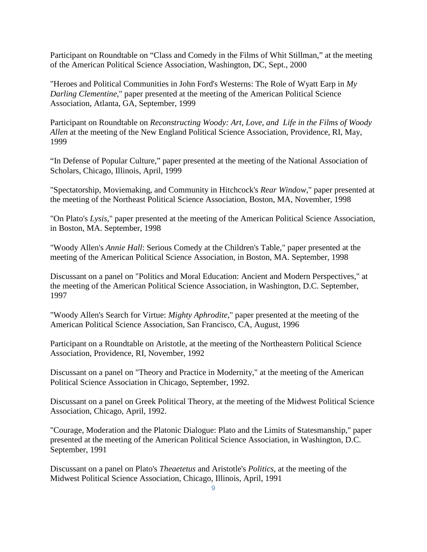Participant on Roundtable on "Class and Comedy in the Films of Whit Stillman," at the meeting of the American Political Science Association, Washington, DC, Sept., 2000

"Heroes and Political Communities in John Ford's Westerns: The Role of Wyatt Earp in *My Darling Clementine*," paper presented at the meeting of the American Political Science Association, Atlanta, GA, September, 1999

Participant on Roundtable on *Reconstructing Woody: Art, Love, and Life in the Films of Woody Allen* at the meeting of the New England Political Science Association, Providence, RI, May, 1999

"In Defense of Popular Culture," paper presented at the meeting of the National Association of Scholars, Chicago, Illinois, April, 1999

"Spectatorship, Moviemaking, and Community in Hitchcock's *Rear Window*," paper presented at the meeting of the Northeast Political Science Association, Boston, MA, November, 1998

"On Plato's *Lysis*," paper presented at the meeting of the American Political Science Association, in Boston, MA. September, 1998

"Woody Allen's *Annie Hall*: Serious Comedy at the Children's Table," paper presented at the meeting of the American Political Science Association, in Boston, MA. September, 1998

Discussant on a panel on "Politics and Moral Education: Ancient and Modern Perspectives," at the meeting of the American Political Science Association, in Washington, D.C. September, 1997

"Woody Allen's Search for Virtue: *Mighty Aphrodite*," paper presented at the meeting of the American Political Science Association, San Francisco, CA, August, 1996

Participant on a Roundtable on Aristotle, at the meeting of the Northeastern Political Science Association, Providence, RI, November, 1992

Discussant on a panel on "Theory and Practice in Modernity," at the meeting of the American Political Science Association in Chicago, September, 1992.

Discussant on a panel on Greek Political Theory, at the meeting of the Midwest Political Science Association, Chicago, April, 1992.

"Courage, Moderation and the Platonic Dialogue: Plato and the Limits of Statesmanship," paper presented at the meeting of the American Political Science Association, in Washington, D.C. September, 1991

Discussant on a panel on Plato's *Theaetetus* and Aristotle's *Politics*, at the meeting of the Midwest Political Science Association, Chicago, Illinois, April, 1991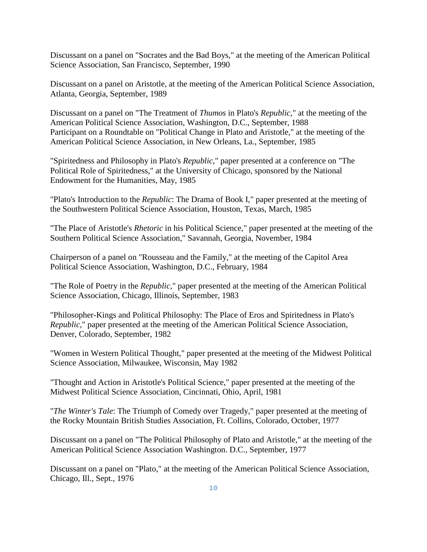Discussant on a panel on "Socrates and the Bad Boys," at the meeting of the American Political Science Association, San Francisco, September, 1990

Discussant on a panel on Aristotle, at the meeting of the American Political Science Association, Atlanta, Georgia, September, 1989

Discussant on a panel on "The Treatment of *Thumos* in Plato's *Republic*," at the meeting of the American Political Science Association, Washington, D.C., September, 1988 Participant on a Roundtable on "Political Change in Plato and Aristotle," at the meeting of the American Political Science Association, in New Orleans, La., September, 1985

"Spiritedness and Philosophy in Plato's *Republic*," paper presented at a conference on "The Political Role of Spiritedness," at the University of Chicago, sponsored by the National Endowment for the Humanities, May, 1985

"Plato's Introduction to the *Republic*: The Drama of Book I," paper presented at the meeting of the Southwestern Political Science Association, Houston, Texas, March, 1985

"The Place of Aristotle's *Rhetoric* in his Political Science," paper presented at the meeting of the Southern Political Science Association," Savannah, Georgia, November, 1984

Chairperson of a panel on "Rousseau and the Family," at the meeting of the Capitol Area Political Science Association, Washington, D.C., February, 1984

"The Role of Poetry in the *Republic,*" paper presented at the meeting of the American Political Science Association, Chicago, Illinois, September, 1983

"Philosopher-Kings and Political Philosophy: The Place of Eros and Spiritedness in Plato's *Republic*," paper presented at the meeting of the American Political Science Association, Denver, Colorado, September, 1982

"Women in Western Political Thought," paper presented at the meeting of the Midwest Political Science Association, Milwaukee, Wisconsin, May 1982

"Thought and Action in Aristotle's Political Science," paper presented at the meeting of the Midwest Political Science Association, Cincinnati, Ohio, April, 1981

"*The Winter's Tale*: The Triumph of Comedy over Tragedy," paper presented at the meeting of the Rocky Mountain British Studies Association, Ft. Collins, Colorado, October, 1977

Discussant on a panel on "The Political Philosophy of Plato and Aristotle," at the meeting of the American Political Science Association Washington. D.C., September, 1977

Discussant on a panel on "Plato," at the meeting of the American Political Science Association, Chicago, Ill., Sept., 1976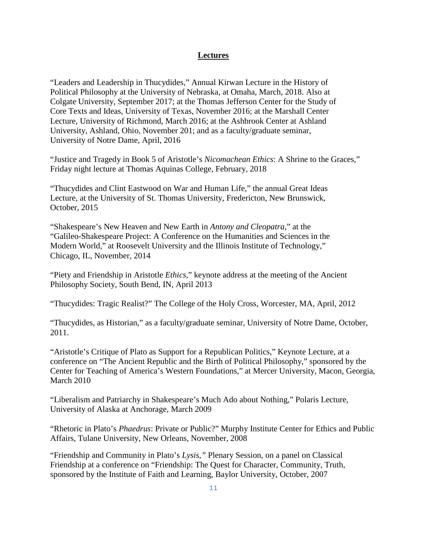#### **Lectures**

"Leaders and Leadership in Thucydides," Annual Kirwan Lecture in the History of Political Philosophy at the University of Nebraska, at Omaha, March, 2018. Also at Colgate University, September 2017; at the Thomas Jefferson Center for the Study of Core Texts and Ideas, University of Texas, November 2016; at the Marshall Center Lecture, University of Richmond, March 2016; at the Ashbrook Center at Ashland University, Ashland, Ohio, November 201; and as a faculty/graduate seminar, University of Notre Dame, April, 2016

"Justice and Tragedy in Book 5 of Aristotle's *Nicomachean Ethics*: A Shrine to the Graces," Friday night lecture at Thomas Aquinas College, February, 2018

"Thucydides and Clint Eastwood on War and Human Life," the annual Great Ideas Lecture, at the University of St. Thomas University, Fredericton, New Brunswick, October, 2015

"Shakespeare's New Heaven and New Earth in *Antony and Cleopatra*," at the "Galileo-Shakespeare Project: A Conference on the Humanities and Sciences in the Modern World," at Roosevelt University and the Illinois Institute of Technology," Chicago, IL, November, 2014

"Piety and Friendship in Aristotle *Ethics*," keynote address at the meeting of the Ancient Philosophy Society, South Bend, IN, April 2013

"Thucydides: Tragic Realist?" The College of the Holy Cross, Worcester, MA, April, 2012

"Thucydides, as Historian," as a faculty/graduate seminar, University of Notre Dame, October, 2011.

"Aristotle's Critique of Plato as Support for a Republican Politics," Keynote Lecture, at a conference on "The Ancient Republic and the Birth of Political Philosophy," sponsored by the Center for Teaching of America's Western Foundations," at Mercer University, Macon, Georgia, March 2010

"Liberalism and Patriarchy in Shakespeare's Much Ado about Nothing," Polaris Lecture, University of Alaska at Anchorage, March 2009

"Rhetoric in Plato's *Phaedrus*: Private or Public?" Murphy Institute Center for Ethics and Public Affairs, Tulane University, New Orleans, November, 2008

"Friendship and Community in Plato's *Lysis,"* Plenary Session, on a panel on Classical Friendship at a conference on "Friendship: The Quest for Character, Community, Truth, sponsored by the Institute of Faith and Learning, Baylor University, October, 2007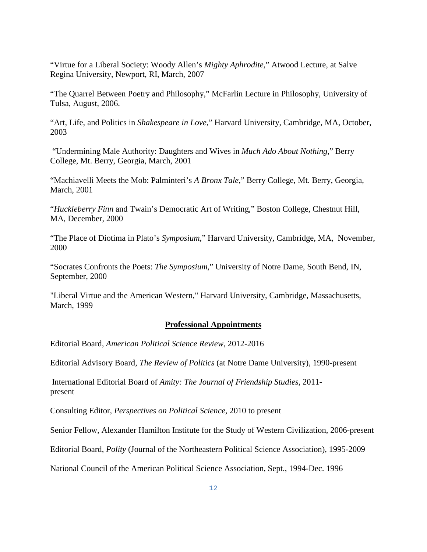"Virtue for a Liberal Society: Woody Allen's *Mighty Aphrodite*," Atwood Lecture, at Salve Regina University, Newport, RI, March, 2007

"The Quarrel Between Poetry and Philosophy," McFarlin Lecture in Philosophy, University of Tulsa, August, 2006.

"Art, Life, and Politics in *Shakespeare in Love*," Harvard University, Cambridge, MA, October, 2003

"Undermining Male Authority: Daughters and Wives in *Much Ado About Nothing*," Berry College, Mt. Berry, Georgia, March, 2001

"Machiavelli Meets the Mob: Palminteri's *A Bronx Tale*," Berry College, Mt. Berry, Georgia, March, 2001

"*Huckleberry Finn* and Twain's Democratic Art of Writing," Boston College, Chestnut Hill, MA, December, 2000

"The Place of Diotima in Plato's *Symposium*," Harvard University, Cambridge, MA, November, 2000

"Socrates Confronts the Poets: *The Symposium*," University of Notre Dame, South Bend, IN, September, 2000

"Liberal Virtue and the American Western," Harvard University, Cambridge, Massachusetts, March, 1999

## **Professional Appointments**

Editorial Board, *American Political Science Review*, 2012-2016

Editorial Advisory Board, *The Review of Politics* (at Notre Dame University), 1990-present

International Editorial Board of *Amity: The Journal of Friendship Studies*, 2011 present

Consulting Editor, *Perspectives on Political Science,* 2010 to present

Senior Fellow, Alexander Hamilton Institute for the Study of Western Civilization, 2006-present

Editorial Board, *Polity* (Journal of the Northeastern Political Science Association), 1995-2009

National Council of the American Political Science Association, Sept., 1994-Dec. 1996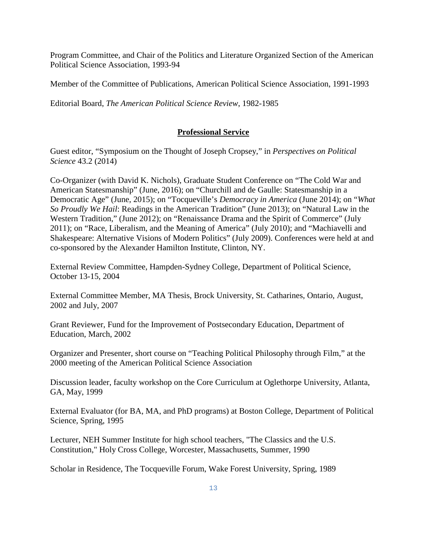Program Committee, and Chair of the Politics and Literature Organized Section of the American Political Science Association, 1993-94

Member of the Committee of Publications, American Political Science Association, 1991-1993

Editorial Board, *The American Political Science Review*, 1982-1985

#### **Professional Service**

Guest editor, "Symposium on the Thought of Joseph Cropsey," in *Perspectives on Political Science* 43.2 (2014)

Co-Organizer (with David K. Nichols), Graduate Student Conference on "The Cold War and American Statesmanship" (June, 2016); on "Churchill and de Gaulle: Statesmanship in a Democratic Age" (June, 2015); on "Tocqueville's *Democracy in America* (June 2014); on "*What So Proudly We Hail*: Readings in the American Tradition" (June 2013); on "Natural Law in the Western Tradition," (June 2012); on "Renaissance Drama and the Spirit of Commerce" (July 2011); on "Race, Liberalism, and the Meaning of America" (July 2010); and "Machiavelli and Shakespeare: Alternative Visions of Modern Politics" (July 2009). Conferences were held at and co-sponsored by the Alexander Hamilton Institute, Clinton, NY.

External Review Committee, Hampden-Sydney College, Department of Political Science, October 13-15, 2004

External Committee Member, MA Thesis, Brock University, St. Catharines, Ontario, August, 2002 and July, 2007

Grant Reviewer, Fund for the Improvement of Postsecondary Education, Department of Education, March, 2002

Organizer and Presenter, short course on "Teaching Political Philosophy through Film," at the 2000 meeting of the American Political Science Association

Discussion leader, faculty workshop on the Core Curriculum at Oglethorpe University, Atlanta, GA, May, 1999

External Evaluator (for BA, MA, and PhD programs) at Boston College, Department of Political Science, Spring, 1995

Lecturer, NEH Summer Institute for high school teachers, "The Classics and the U.S. Constitution," Holy Cross College, Worcester, Massachusetts, Summer, 1990

Scholar in Residence, The Tocqueville Forum, Wake Forest University, Spring, 1989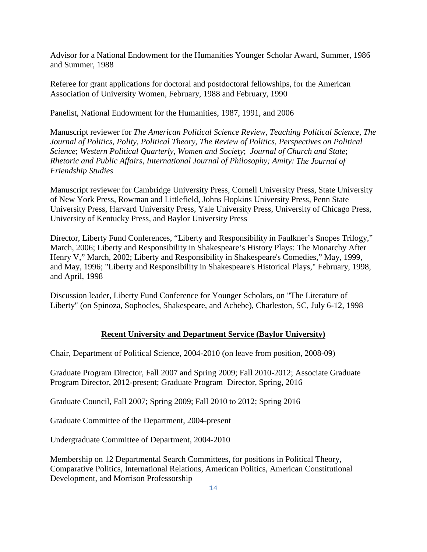Advisor for a National Endowment for the Humanities Younger Scholar Award, Summer, 1986 and Summer, 1988

Referee for grant applications for doctoral and postdoctoral fellowships, for the American Association of University Women, February, 1988 and February, 1990

Panelist, National Endowment for the Humanities, 1987, 1991, and 2006

Manuscript reviewer for *The American Political Science Review*, *Teaching Political Science*, *The Journal of Politics*, *Polity*, *Political Theory*, *The Review of Politics*, *Perspectives on Political Science*; *Western Political Quarterly*, *Women and Society*; *Journal of Church and State*; *Rhetoric and Public Affairs*, *International Journal of Philosophy; Amity: The Journal of Friendship Studies* 

Manuscript reviewer for Cambridge University Press, Cornell University Press, State University of New York Press, Rowman and Littlefield, Johns Hopkins University Press, Penn State University Press, Harvard University Press, Yale University Press, University of Chicago Press, University of Kentucky Press, and Baylor University Press

Director, Liberty Fund Conferences, "Liberty and Responsibility in Faulkner's Snopes Trilogy," March, 2006; Liberty and Responsibility in Shakespeare's History Plays: The Monarchy After Henry V," March, 2002; Liberty and Responsibility in Shakespeare's Comedies," May, 1999, and May, 1996; "Liberty and Responsibility in Shakespeare's Historical Plays," February, 1998, and April, 1998

Discussion leader, Liberty Fund Conference for Younger Scholars, on "The Literature of Liberty" (on Spinoza, Sophocles, Shakespeare, and Achebe), Charleston, SC, July 6-12, 1998

#### **Recent University and Department Service (Baylor University)**

Chair, Department of Political Science, 2004-2010 (on leave from position, 2008-09)

Graduate Program Director, Fall 2007 and Spring 2009; Fall 2010-2012; Associate Graduate Program Director, 2012-present; Graduate Program Director, Spring, 2016

Graduate Council, Fall 2007; Spring 2009; Fall 2010 to 2012; Spring 2016

Graduate Committee of the Department, 2004-present

Undergraduate Committee of Department, 2004-2010

Membership on 12 Departmental Search Committees, for positions in Political Theory, Comparative Politics, International Relations, American Politics, American Constitutional Development, and Morrison Professorship